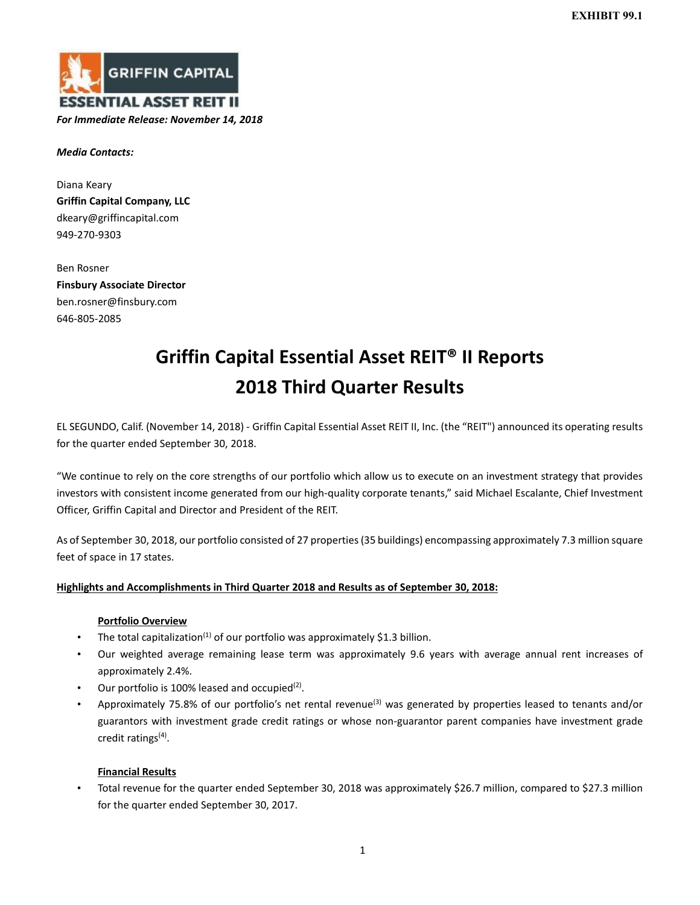**EXHIBIT 99.1**



#### *Media Contacts:*

Diana Keary **Griffin Capital Company, LLC** dkeary@griffincapital.com 949-270-9303

Ben Rosner **Finsbury Associate Director** ben.rosner@finsbury.com 646-805-2085

# **Griffin Capital Essential Asset REIT® II Reports 2018 Third Quarter Results**

EL SEGUNDO, Calif. (November 14, 2018) - Griffin Capital Essential Asset REIT II, Inc. (the "REIT") announced its operating results for the quarter ended September 30, 2018.

"We continue to rely on the core strengths of our portfolio which allow us to execute on an investment strategy that provides investors with consistent income generated from our high-quality corporate tenants," said Michael Escalante, Chief Investment Officer, Griffin Capital and Director and President of the REIT.

As of September 30, 2018, our portfolio consisted of 27 properties (35 buildings) encompassing approximately 7.3 million square feet of space in 17 states.

#### **Highlights and Accomplishments in Third Quarter 2018 and Results as of September 30, 2018:**

#### **Portfolio Overview**

- The total capitalization<sup>(1)</sup> of our portfolio was approximately \$1.3 billion.
- Our weighted average remaining lease term was approximately 9.6 years with average annual rent increases of approximately 2.4%.
- Our portfolio is 100% leased and occupied $^{(2)}$ .
- Approximately 75.8% of our portfolio's net rental revenue<sup>(3)</sup> was generated by properties leased to tenants and/or guarantors with investment grade credit ratings or whose non-guarantor parent companies have investment grade credit ratings $(4)$ .

#### **Financial Results**

• Total revenue for the quarter ended September 30, 2018 was approximately \$26.7 million, compared to \$27.3 million for the quarter ended September 30, 2017.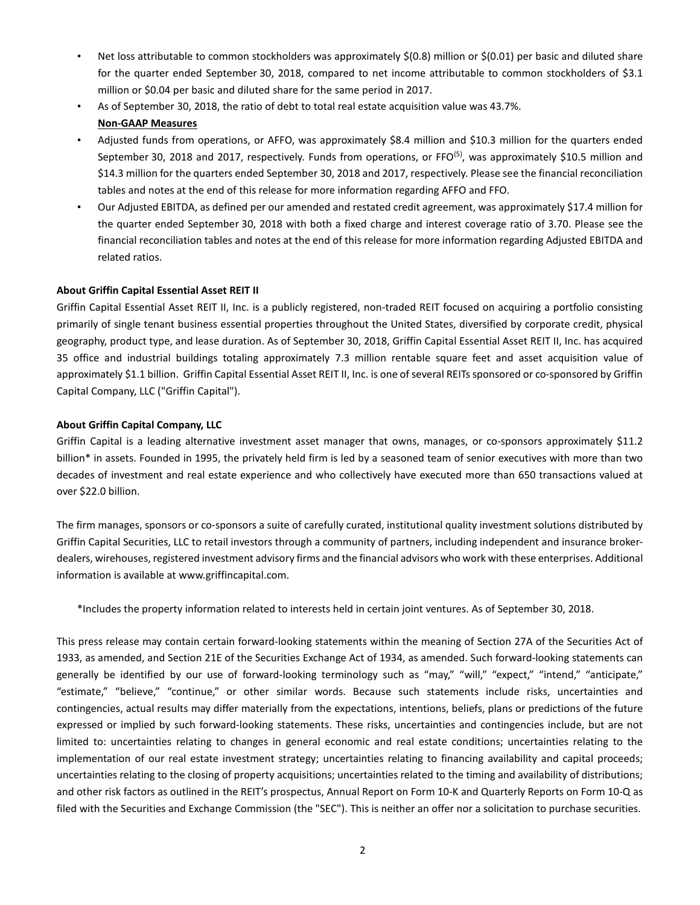- Net loss attributable to common stockholders was approximately  $\zeta(0.8)$  million or  $\zeta(0.01)$  per basic and diluted share for the quarter ended September 30, 2018, compared to net income attributable to common stockholders of \$3.1 million or \$0.04 per basic and diluted share for the same period in 2017.
- As of September 30, 2018, the ratio of debt to total real estate acquisition value was 43.7%.

# **Non-GAAP Measures**

- Adjusted funds from operations, or AFFO, was approximately \$8.4 million and \$10.3 million for the quarters ended September 30, 2018 and 2017, respectively. Funds from operations, or FFO<sup>(5)</sup>, was approximately \$10.5 million and \$14.3 million for the quarters ended September 30, 2018 and 2017, respectively. Please see the financial reconciliation tables and notes at the end of this release for more information regarding AFFO and FFO.
- Our Adjusted EBITDA, as defined per our amended and restated credit agreement, was approximately \$17.4 million for the quarter ended September 30, 2018 with both a fixed charge and interest coverage ratio of 3.70. Please see the financial reconciliation tables and notes at the end of this release for more information regarding Adjusted EBITDA and related ratios.

#### **About Griffin Capital Essential Asset REIT II**

Griffin Capital Essential Asset REIT II, Inc. is a publicly registered, non-traded REIT focused on acquiring a portfolio consisting primarily of single tenant business essential properties throughout the United States, diversified by corporate credit, physical geography, product type, and lease duration. As of September 30, 2018, Griffin Capital Essential Asset REIT II, Inc. has acquired 35 office and industrial buildings totaling approximately 7.3 million rentable square feet and asset acquisition value of approximately \$1.1 billion. Griffin Capital Essential Asset REIT II, Inc. is one of several REITs sponsored or co-sponsored by Griffin Capital Company, LLC ("Griffin Capital").

#### **About Griffin Capital Company, LLC**

Griffin Capital is a leading alternative investment asset manager that owns, manages, or co-sponsors approximately \$11.2 billion\* in assets. Founded in 1995, the privately held firm is led by a seasoned team of senior executives with more than two decades of investment and real estate experience and who collectively have executed more than 650 transactions valued at over \$22.0 billion.

The firm manages, sponsors or co-sponsors a suite of carefully curated, institutional quality investment solutions distributed by Griffin Capital Securities, LLC to retail investors through a community of partners, including independent and insurance brokerdealers, wirehouses, registered investment advisory firms and the financial advisors who work with these enterprises. Additional information is available at www.griffincapital.com.

\*Includes the property information related to interests held in certain joint ventures. As of September 30, 2018.

This press release may contain certain forward-looking statements within the meaning of Section 27A of the Securities Act of 1933, as amended, and Section 21E of the Securities Exchange Act of 1934, as amended. Such forward-looking statements can generally be identified by our use of forward-looking terminology such as "may," "will," "expect," "intend," "anticipate," "estimate," "believe," "continue," or other similar words. Because such statements include risks, uncertainties and contingencies, actual results may differ materially from the expectations, intentions, beliefs, plans or predictions of the future expressed or implied by such forward-looking statements. These risks, uncertainties and contingencies include, but are not limited to: uncertainties relating to changes in general economic and real estate conditions; uncertainties relating to the implementation of our real estate investment strategy; uncertainties relating to financing availability and capital proceeds; uncertainties relating to the closing of property acquisitions; uncertainties related to the timing and availability of distributions; and other risk factors as outlined in the REIT's prospectus, Annual Report on Form 10-K and Quarterly Reports on Form 10-Q as filed with the Securities and Exchange Commission (the "SEC"). This is neither an offer nor a solicitation to purchase securities.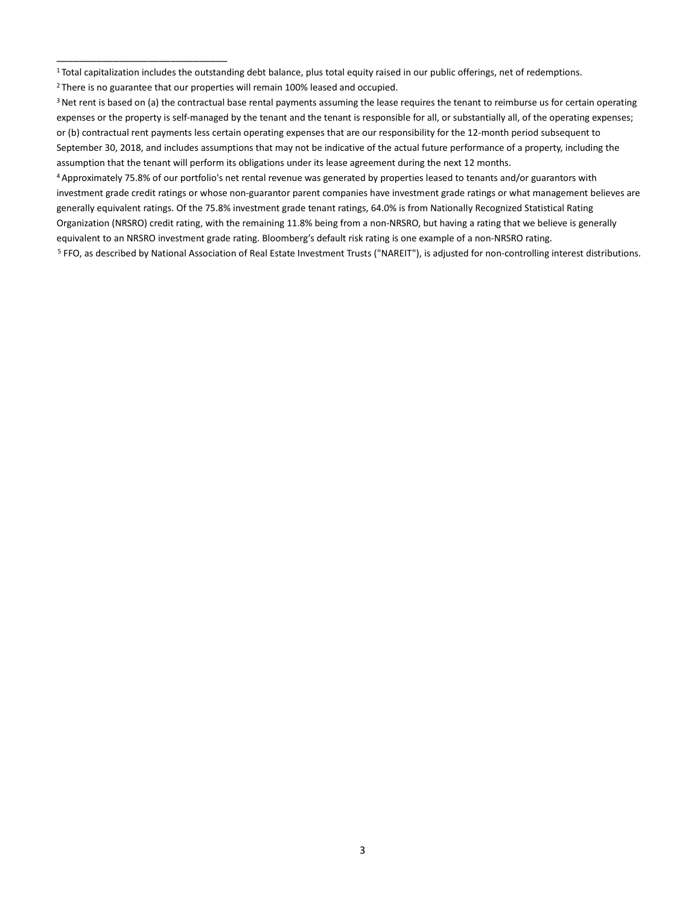\_\_\_\_\_\_\_\_\_\_\_\_\_\_\_\_\_\_\_\_\_\_\_\_\_\_\_\_\_\_

4 Approximately 75.8% of our portfolio's net rental revenue was generated by properties leased to tenants and/or guarantors with investment grade credit ratings or whose non-guarantor parent companies have investment grade ratings or what management believes are generally equivalent ratings. Of the 75.8% investment grade tenant ratings, 64.0% is from Nationally Recognized Statistical Rating Organization (NRSRO) credit rating, with the remaining 11.8% being from a non-NRSRO, but having a rating that we believe is generally equivalent to an NRSRO investment grade rating. Bloomberg's default risk rating is one example of a non-NRSRO rating. <sup>5</sup> FFO, as described by National Association of Real Estate Investment Trusts ("NAREIT"), is adjusted for non-controlling interest distributions.

 $1$  Total capitalization includes the outstanding debt balance, plus total equity raised in our public offerings, net of redemptions.

<sup>&</sup>lt;sup>2</sup> There is no guarantee that our properties will remain 100% leased and occupied.

<sup>&</sup>lt;sup>3</sup> Net rent is based on (a) the contractual base rental payments assuming the lease requires the tenant to reimburse us for certain operating expenses or the property is self-managed by the tenant and the tenant is responsible for all, or substantially all, of the operating expenses; or (b) contractual rent payments less certain operating expenses that are our responsibility for the 12-month period subsequent to September 30, 2018, and includes assumptions that may not be indicative of the actual future performance of a property, including the assumption that the tenant will perform its obligations under its lease agreement during the next 12 months.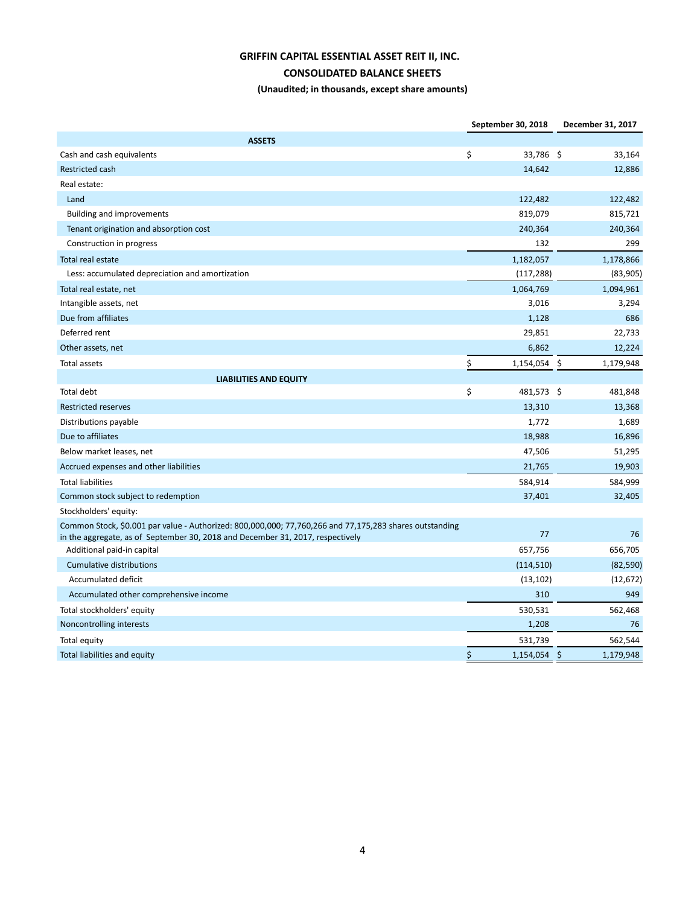# **GRIFFIN CAPITAL ESSENTIAL ASSET REIT II, INC.**

# **CONSOLIDATED BALANCE SHEETS**

**(Unaudited; in thousands, except share amounts)**

|                                                                                                                                                                                           | September 30, 2018 |              |     | December 31, 2017 |  |  |  |
|-------------------------------------------------------------------------------------------------------------------------------------------------------------------------------------------|--------------------|--------------|-----|-------------------|--|--|--|
| <b>ASSETS</b>                                                                                                                                                                             |                    |              |     |                   |  |  |  |
| Cash and cash equivalents                                                                                                                                                                 | \$                 | 33,786 \$    |     | 33,164            |  |  |  |
| Restricted cash                                                                                                                                                                           |                    | 14,642       |     | 12,886            |  |  |  |
| Real estate:                                                                                                                                                                              |                    |              |     |                   |  |  |  |
| Land                                                                                                                                                                                      |                    | 122,482      |     | 122,482           |  |  |  |
| <b>Building and improvements</b>                                                                                                                                                          |                    | 819,079      |     | 815,721           |  |  |  |
| Tenant origination and absorption cost                                                                                                                                                    |                    | 240,364      |     | 240,364           |  |  |  |
| Construction in progress                                                                                                                                                                  |                    | 132          |     | 299               |  |  |  |
| Total real estate                                                                                                                                                                         |                    | 1,182,057    |     | 1,178,866         |  |  |  |
| Less: accumulated depreciation and amortization                                                                                                                                           |                    | (117, 288)   |     | (83,905)          |  |  |  |
| Total real estate, net                                                                                                                                                                    |                    | 1,064,769    |     | 1,094,961         |  |  |  |
| Intangible assets, net                                                                                                                                                                    |                    | 3,016        |     | 3,294             |  |  |  |
| Due from affiliates                                                                                                                                                                       |                    | 1,128        |     | 686               |  |  |  |
| Deferred rent                                                                                                                                                                             |                    | 29,851       |     | 22,733            |  |  |  |
| Other assets, net                                                                                                                                                                         |                    | 6,862        |     | 12,224            |  |  |  |
| Total assets                                                                                                                                                                              | \$                 | 1,154,054    | -\$ | 1,179,948         |  |  |  |
| <b>LIABILITIES AND EQUITY</b>                                                                                                                                                             |                    |              |     |                   |  |  |  |
| Total debt                                                                                                                                                                                | \$                 | 481,573 \$   |     | 481,848           |  |  |  |
| <b>Restricted reserves</b>                                                                                                                                                                |                    | 13,310       |     | 13,368            |  |  |  |
| Distributions payable                                                                                                                                                                     |                    | 1,772        |     | 1,689             |  |  |  |
| Due to affiliates                                                                                                                                                                         |                    | 18,988       |     | 16,896            |  |  |  |
| Below market leases, net                                                                                                                                                                  |                    | 47,506       |     | 51,295            |  |  |  |
| Accrued expenses and other liabilities                                                                                                                                                    |                    | 21,765       |     | 19,903            |  |  |  |
| <b>Total liabilities</b>                                                                                                                                                                  |                    | 584,914      |     | 584,999           |  |  |  |
| Common stock subject to redemption                                                                                                                                                        |                    | 37,401       |     | 32,405            |  |  |  |
| Stockholders' equity:                                                                                                                                                                     |                    |              |     |                   |  |  |  |
| Common Stock, \$0.001 par value - Authorized: 800,000,000; 77,760,266 and 77,175,283 shares outstanding<br>in the aggregate, as of September 30, 2018 and December 31, 2017, respectively |                    | 77           |     | 76                |  |  |  |
| Additional paid-in capital                                                                                                                                                                |                    | 657,756      |     | 656,705           |  |  |  |
| Cumulative distributions                                                                                                                                                                  |                    | (114, 510)   |     | (82, 590)         |  |  |  |
| Accumulated deficit                                                                                                                                                                       |                    | (13, 102)    |     | (12, 672)         |  |  |  |
| Accumulated other comprehensive income                                                                                                                                                    |                    | 310          |     | 949               |  |  |  |
| Total stockholders' equity                                                                                                                                                                |                    | 530,531      |     | 562,468           |  |  |  |
| Noncontrolling interests                                                                                                                                                                  |                    | 1,208        |     | 76                |  |  |  |
| Total equity                                                                                                                                                                              |                    | 531,739      |     | 562,544           |  |  |  |
| Total liabilities and equity                                                                                                                                                              | \$                 | 1,154,054 \$ |     | 1,179,948         |  |  |  |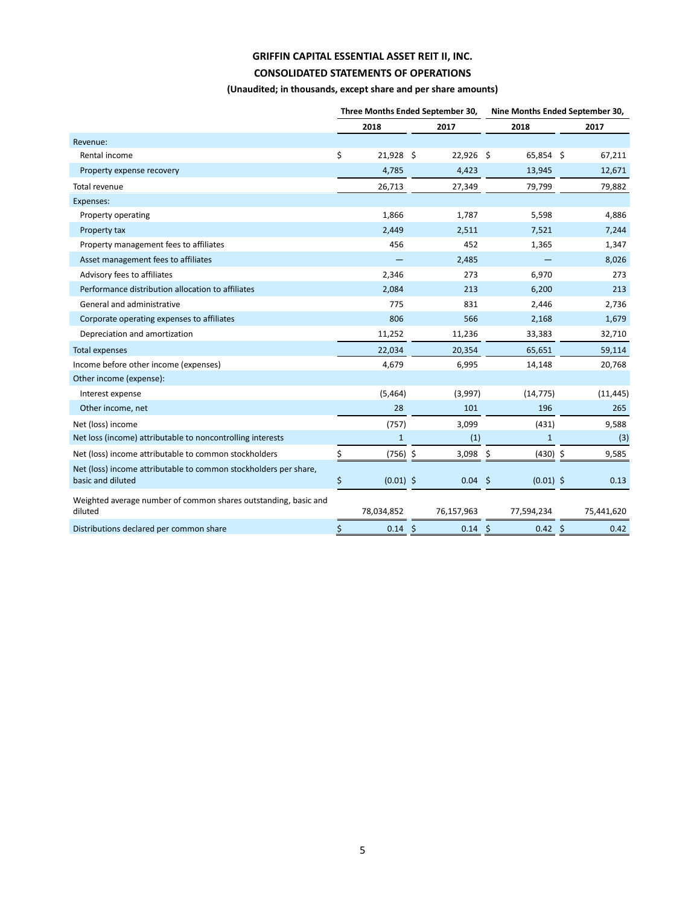# **GRIFFIN CAPITAL ESSENTIAL ASSET REIT II, INC.**

# **CONSOLIDATED STATEMENTS OF OPERATIONS**

# **(Unaudited; in thousands, except share and per share amounts)**

|                                                                                       | Three Months Ended September 30, |                |      | Nine Months Ended September 30, |      |                |  |            |  |
|---------------------------------------------------------------------------------------|----------------------------------|----------------|------|---------------------------------|------|----------------|--|------------|--|
|                                                                                       | 2018                             |                | 2017 |                                 | 2018 |                |  | 2017       |  |
| Revenue:                                                                              |                                  |                |      |                                 |      |                |  |            |  |
| Rental income                                                                         | \$                               | 21,928 \$      |      | 22,926 \$                       |      | 65,854 \$      |  | 67,211     |  |
| Property expense recovery                                                             |                                  | 4,785          |      | 4,423                           |      | 13,945         |  | 12,671     |  |
| Total revenue                                                                         |                                  | 26,713         |      | 27,349                          |      | 79,799         |  | 79,882     |  |
| Expenses:                                                                             |                                  |                |      |                                 |      |                |  |            |  |
| Property operating                                                                    |                                  | 1,866          |      | 1,787                           |      | 5,598          |  | 4,886      |  |
| Property tax                                                                          |                                  | 2,449          |      | 2,511                           |      | 7,521          |  | 7,244      |  |
| Property management fees to affiliates                                                |                                  | 456            |      | 452                             |      | 1,365          |  | 1,347      |  |
| Asset management fees to affiliates                                                   |                                  |                |      | 2,485                           |      |                |  | 8,026      |  |
| Advisory fees to affiliates                                                           |                                  | 2,346          |      | 273                             |      | 6,970          |  | 273        |  |
| Performance distribution allocation to affiliates                                     |                                  | 2,084          |      | 213                             |      | 6,200          |  | 213        |  |
| General and administrative                                                            |                                  | 775            |      | 831                             |      | 2,446          |  | 2,736      |  |
| Corporate operating expenses to affiliates                                            |                                  | 806            |      | 566                             |      | 2,168          |  | 1,679      |  |
| Depreciation and amortization                                                         |                                  | 11,252         |      | 11,236                          |      | 33,383         |  | 32,710     |  |
| Total expenses                                                                        |                                  | 22,034         |      | 20,354                          |      | 65,651         |  | 59,114     |  |
| Income before other income (expenses)                                                 |                                  | 4,679          |      | 6,995                           |      | 14,148         |  | 20,768     |  |
| Other income (expense):                                                               |                                  |                |      |                                 |      |                |  |            |  |
| Interest expense                                                                      |                                  | (5,464)        |      | (3,997)                         |      | (14, 775)      |  | (11, 445)  |  |
| Other income, net                                                                     |                                  | 28             |      | 101                             |      | 196            |  | 265        |  |
| Net (loss) income                                                                     |                                  | (757)          |      | 3,099                           |      | (431)          |  | 9,588      |  |
| Net loss (income) attributable to noncontrolling interests                            |                                  | $\mathbf 1$    |      | (1)                             |      | $\mathbf{1}$   |  | (3)        |  |
| Net (loss) income attributable to common stockholders                                 | \$                               | $(756)$ \$     |      | 3,098                           | \$   | $(430)$ \$     |  | 9,585      |  |
| Net (loss) income attributable to common stockholders per share,<br>basic and diluted | \$                               | $(0.01)$ \$    |      | $0.04 \quad$ \$                 |      | $(0.01)$ \$    |  | 0.13       |  |
| Weighted average number of common shares outstanding, basic and<br>diluted            |                                  | 78,034,852     |      | 76,157,963                      |      | 77,594,234     |  | 75,441,620 |  |
| Distributions declared per common share                                               | \$                               | $0.14 \quad $$ |      | 0.14                            | - \$ | $0.42 \quad $$ |  | 0.42       |  |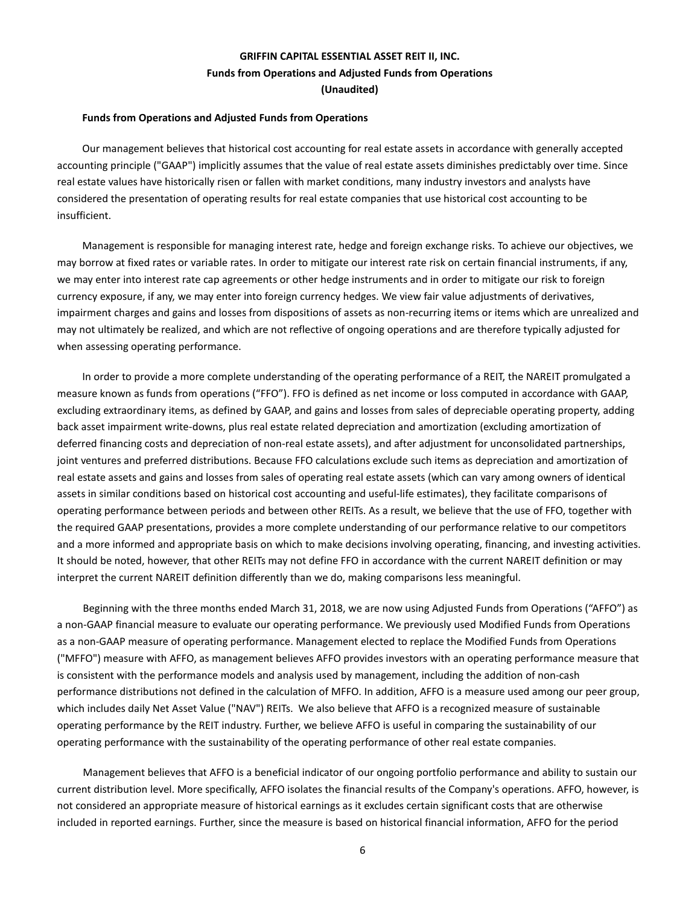# **GRIFFIN CAPITAL ESSENTIAL ASSET REIT II, INC. Funds from Operations and Adjusted Funds from Operations (Unaudited)**

#### **Funds from Operations and Adjusted Funds from Operations**

Our management believes that historical cost accounting for real estate assets in accordance with generally accepted accounting principle ("GAAP") implicitly assumes that the value of real estate assets diminishes predictably over time. Since real estate values have historically risen or fallen with market conditions, many industry investors and analysts have considered the presentation of operating results for real estate companies that use historical cost accounting to be insufficient.

Management is responsible for managing interest rate, hedge and foreign exchange risks. To achieve our objectives, we may borrow at fixed rates or variable rates. In order to mitigate our interest rate risk on certain financial instruments, if any, we may enter into interest rate cap agreements or other hedge instruments and in order to mitigate our risk to foreign currency exposure, if any, we may enter into foreign currency hedges. We view fair value adjustments of derivatives, impairment charges and gains and losses from dispositions of assets as non-recurring items or items which are unrealized and may not ultimately be realized, and which are not reflective of ongoing operations and are therefore typically adjusted for when assessing operating performance.

In order to provide a more complete understanding of the operating performance of a REIT, the NAREIT promulgated a measure known as funds from operations ("FFO"). FFO is defined as net income or loss computed in accordance with GAAP, excluding extraordinary items, as defined by GAAP, and gains and losses from sales of depreciable operating property, adding back asset impairment write-downs, plus real estate related depreciation and amortization (excluding amortization of deferred financing costs and depreciation of non-real estate assets), and after adjustment for unconsolidated partnerships, joint ventures and preferred distributions. Because FFO calculations exclude such items as depreciation and amortization of real estate assets and gains and losses from sales of operating real estate assets (which can vary among owners of identical assets in similar conditions based on historical cost accounting and useful-life estimates), they facilitate comparisons of operating performance between periods and between other REITs. As a result, we believe that the use of FFO, together with the required GAAP presentations, provides a more complete understanding of our performance relative to our competitors and a more informed and appropriate basis on which to make decisions involving operating, financing, and investing activities. It should be noted, however, that other REITs may not define FFO in accordance with the current NAREIT definition or may interpret the current NAREIT definition differently than we do, making comparisons less meaningful.

Beginning with the three months ended March 31, 2018, we are now using Adjusted Funds from Operations ("AFFO") as a non-GAAP financial measure to evaluate our operating performance. We previously used Modified Funds from Operations as a non-GAAP measure of operating performance. Management elected to replace the Modified Funds from Operations ("MFFO") measure with AFFO, as management believes AFFO provides investors with an operating performance measure that is consistent with the performance models and analysis used by management, including the addition of non-cash performance distributions not defined in the calculation of MFFO. In addition, AFFO is a measure used among our peer group, which includes daily Net Asset Value ("NAV") REITs. We also believe that AFFO is a recognized measure of sustainable operating performance by the REIT industry. Further, we believe AFFO is useful in comparing the sustainability of our operating performance with the sustainability of the operating performance of other real estate companies.

Management believes that AFFO is a beneficial indicator of our ongoing portfolio performance and ability to sustain our current distribution level. More specifically, AFFO isolates the financial results of the Company's operations. AFFO, however, is not considered an appropriate measure of historical earnings as it excludes certain significant costs that are otherwise included in reported earnings. Further, since the measure is based on historical financial information, AFFO for the period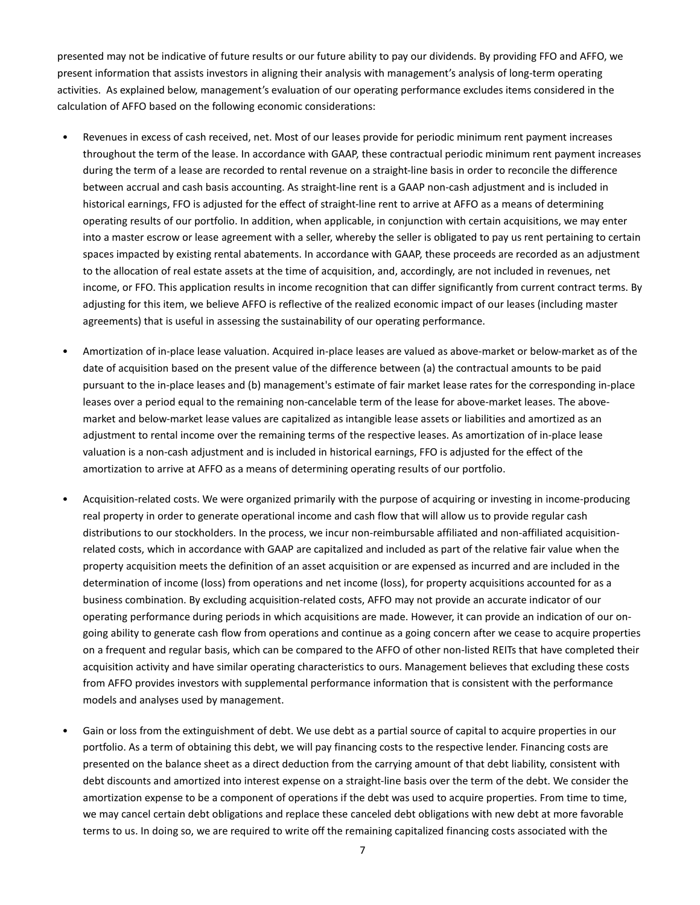presented may not be indicative of future results or our future ability to pay our dividends. By providing FFO and AFFO, we present information that assists investors in aligning their analysis with management's analysis of long-term operating activities. As explained below, management's evaluation of our operating performance excludes items considered in the calculation of AFFO based on the following economic considerations:

- Revenues in excess of cash received, net. Most of our leases provide for periodic minimum rent payment increases throughout the term of the lease. In accordance with GAAP, these contractual periodic minimum rent payment increases during the term of a lease are recorded to rental revenue on a straight-line basis in order to reconcile the difference between accrual and cash basis accounting. As straight-line rent is a GAAP non-cash adjustment and is included in historical earnings, FFO is adjusted for the effect of straight-line rent to arrive at AFFO as a means of determining operating results of our portfolio. In addition, when applicable, in conjunction with certain acquisitions, we may enter into a master escrow or lease agreement with a seller, whereby the seller is obligated to pay us rent pertaining to certain spaces impacted by existing rental abatements. In accordance with GAAP, these proceeds are recorded as an adjustment to the allocation of real estate assets at the time of acquisition, and, accordingly, are not included in revenues, net income, or FFO. This application results in income recognition that can differ significantly from current contract terms. By adjusting for this item, we believe AFFO is reflective of the realized economic impact of our leases (including master agreements) that is useful in assessing the sustainability of our operating performance.
- Amortization of in-place lease valuation. Acquired in-place leases are valued as above-market or below-market as of the date of acquisition based on the present value of the difference between (a) the contractual amounts to be paid pursuant to the in-place leases and (b) management's estimate of fair market lease rates for the corresponding in-place leases over a period equal to the remaining non-cancelable term of the lease for above-market leases. The abovemarket and below-market lease values are capitalized as intangible lease assets or liabilities and amortized as an adjustment to rental income over the remaining terms of the respective leases. As amortization of in-place lease valuation is a non-cash adjustment and is included in historical earnings, FFO is adjusted for the effect of the amortization to arrive at AFFO as a means of determining operating results of our portfolio.
- Acquisition-related costs. We were organized primarily with the purpose of acquiring or investing in income-producing real property in order to generate operational income and cash flow that will allow us to provide regular cash distributions to our stockholders. In the process, we incur non-reimbursable affiliated and non-affiliated acquisitionrelated costs, which in accordance with GAAP are capitalized and included as part of the relative fair value when the property acquisition meets the definition of an asset acquisition or are expensed as incurred and are included in the determination of income (loss) from operations and net income (loss), for property acquisitions accounted for as a business combination. By excluding acquisition-related costs, AFFO may not provide an accurate indicator of our operating performance during periods in which acquisitions are made. However, it can provide an indication of our ongoing ability to generate cash flow from operations and continue as a going concern after we cease to acquire properties on a frequent and regular basis, which can be compared to the AFFO of other non-listed REITs that have completed their acquisition activity and have similar operating characteristics to ours. Management believes that excluding these costs from AFFO provides investors with supplemental performance information that is consistent with the performance models and analyses used by management.
- Gain or loss from the extinguishment of debt. We use debt as a partial source of capital to acquire properties in our portfolio. As a term of obtaining this debt, we will pay financing costs to the respective lender. Financing costs are presented on the balance sheet as a direct deduction from the carrying amount of that debt liability, consistent with debt discounts and amortized into interest expense on a straight-line basis over the term of the debt. We consider the amortization expense to be a component of operations if the debt was used to acquire properties. From time to time, we may cancel certain debt obligations and replace these canceled debt obligations with new debt at more favorable terms to us. In doing so, we are required to write off the remaining capitalized financing costs associated with the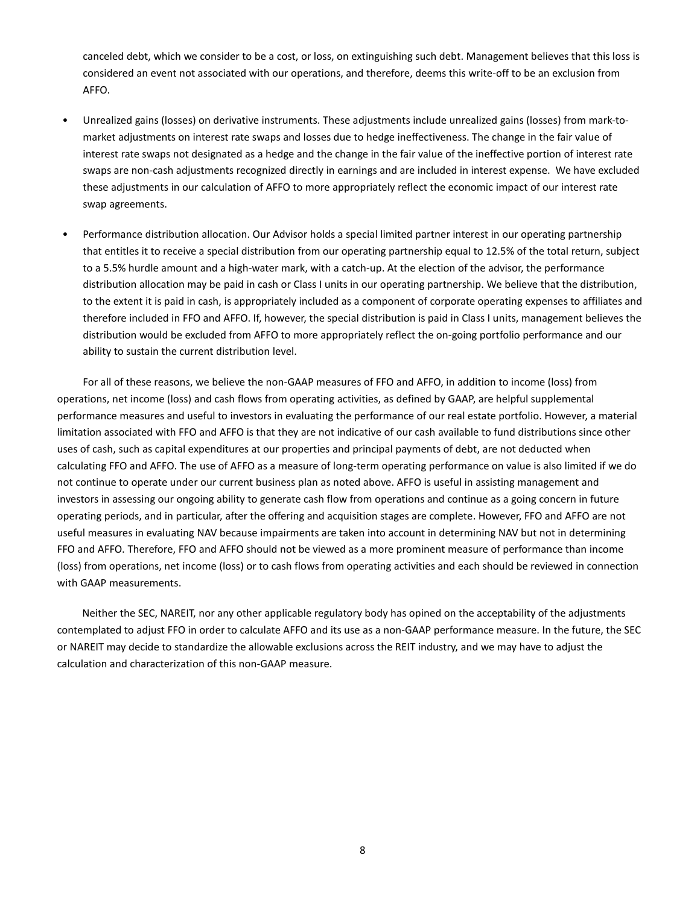canceled debt, which we consider to be a cost, or loss, on extinguishing such debt. Management believes that this loss is considered an event not associated with our operations, and therefore, deems this write-off to be an exclusion from AFFO.

- Unrealized gains (losses) on derivative instruments. These adjustments include unrealized gains (losses) from mark-tomarket adjustments on interest rate swaps and losses due to hedge ineffectiveness. The change in the fair value of interest rate swaps not designated as a hedge and the change in the fair value of the ineffective portion of interest rate swaps are non-cash adjustments recognized directly in earnings and are included in interest expense. We have excluded these adjustments in our calculation of AFFO to more appropriately reflect the economic impact of our interest rate swap agreements.
- Performance distribution allocation. Our Advisor holds a special limited partner interest in our operating partnership that entitles it to receive a special distribution from our operating partnership equal to 12.5% of the total return, subject to a 5.5% hurdle amount and a high-water mark, with a catch-up. At the election of the advisor, the performance distribution allocation may be paid in cash or Class I units in our operating partnership. We believe that the distribution, to the extent it is paid in cash, is appropriately included as a component of corporate operating expenses to affiliates and therefore included in FFO and AFFO. If, however, the special distribution is paid in Class I units, management believes the distribution would be excluded from AFFO to more appropriately reflect the on-going portfolio performance and our ability to sustain the current distribution level.

For all of these reasons, we believe the non-GAAP measures of FFO and AFFO, in addition to income (loss) from operations, net income (loss) and cash flows from operating activities, as defined by GAAP, are helpful supplemental performance measures and useful to investors in evaluating the performance of our real estate portfolio. However, a material limitation associated with FFO and AFFO is that they are not indicative of our cash available to fund distributions since other uses of cash, such as capital expenditures at our properties and principal payments of debt, are not deducted when calculating FFO and AFFO. The use of AFFO as a measure of long-term operating performance on value is also limited if we do not continue to operate under our current business plan as noted above. AFFO is useful in assisting management and investors in assessing our ongoing ability to generate cash flow from operations and continue as a going concern in future operating periods, and in particular, after the offering and acquisition stages are complete. However, FFO and AFFO are not useful measures in evaluating NAV because impairments are taken into account in determining NAV but not in determining FFO and AFFO. Therefore, FFO and AFFO should not be viewed as a more prominent measure of performance than income (loss) from operations, net income (loss) or to cash flows from operating activities and each should be reviewed in connection with GAAP measurements.

Neither the SEC, NAREIT, nor any other applicable regulatory body has opined on the acceptability of the adjustments contemplated to adjust FFO in order to calculate AFFO and its use as a non-GAAP performance measure. In the future, the SEC or NAREIT may decide to standardize the allowable exclusions across the REIT industry, and we may have to adjust the calculation and characterization of this non-GAAP measure.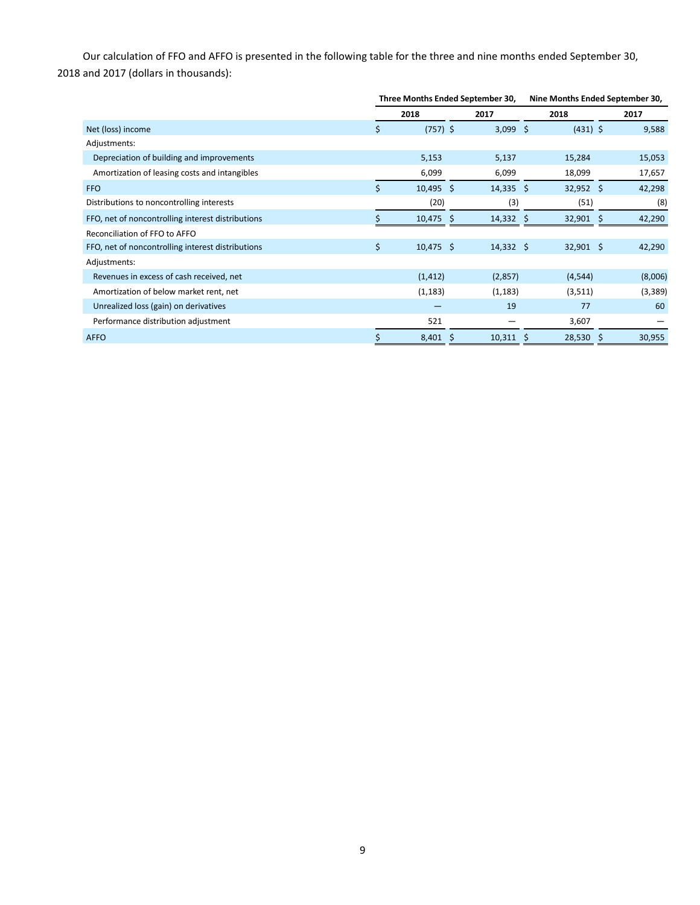Our calculation of FFO and AFFO is presented in the following table for the three and nine months ended September 30, 2018 and 2017 (dollars in thousands):

|                                                   |     | Three Months Ended September 30, |              |                      |  | Nine Months Ended September 30, |  |          |  |  |
|---------------------------------------------------|-----|----------------------------------|--------------|----------------------|--|---------------------------------|--|----------|--|--|
|                                                   |     | 2018                             |              | 2017                 |  | 2018                            |  | 2017     |  |  |
| Net (loss) income                                 | \$  | $(757)$ \$                       |              | $3,099$ \$           |  | $(431)$ \$                      |  | 9,588    |  |  |
| Adjustments:                                      |     |                                  |              |                      |  |                                 |  |          |  |  |
| Depreciation of building and improvements         |     | 5,153                            |              | 5,137                |  | 15,284                          |  | 15,053   |  |  |
| Amortization of leasing costs and intangibles     |     | 6,099                            |              | 6,099                |  | 18,099                          |  | 17,657   |  |  |
| <b>FFO</b>                                        | \$. | $10,495$ \$                      |              | $14,335$ \$          |  | $32,952$ \$                     |  | 42,298   |  |  |
| Distributions to noncontrolling interests         |     | (20)                             |              | (3)                  |  | (51)                            |  | (8)      |  |  |
| FFO, net of noncontrolling interest distributions | Ś.  | 10,475                           | <sup>S</sup> | $14,332 \quad $$     |  | 32,901                          |  | 42,290   |  |  |
| Reconciliation of FFO to AFFO                     |     |                                  |              |                      |  |                                 |  |          |  |  |
| FFO, net of noncontrolling interest distributions | \$  | $10,475$ \$                      |              | $14,332 \quad $$     |  | $32,901$ \$                     |  | 42,290   |  |  |
| Adjustments:                                      |     |                                  |              |                      |  |                                 |  |          |  |  |
| Revenues in excess of cash received, net          |     | (1, 412)                         |              | (2,857)              |  | (4, 544)                        |  | (8,006)  |  |  |
| Amortization of below market rent, net            |     | (1, 183)                         |              | (1, 183)             |  | (3,511)                         |  | (3, 389) |  |  |
| Unrealized loss (gain) on derivatives             |     | -                                |              | 19                   |  | 77                              |  | 60       |  |  |
| Performance distribution adjustment               |     | 521                              |              |                      |  | 3,607                           |  |          |  |  |
| <b>AFFO</b>                                       | \$  | $8,401$ \$                       |              | $10,311 \; \text{S}$ |  | $28,530$ \$                     |  | 30,955   |  |  |